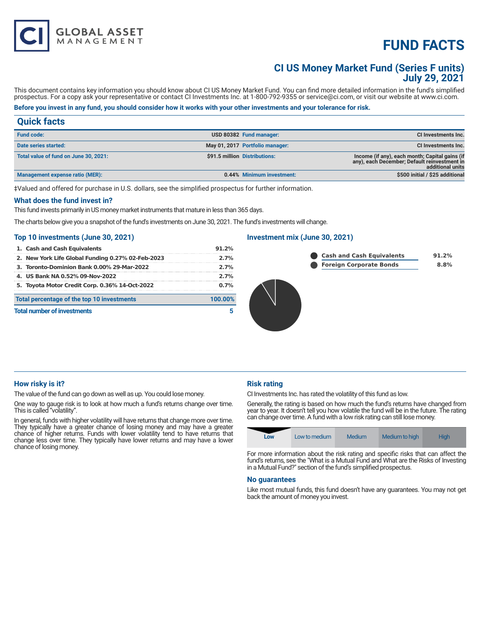# **FUND FACTS**

# **CI US Money Market Fund (Series F units) July 29, 2021**

This document contains key information you should know about CI US Money Market Fund. You can find more detailed information in the fund's simplified prospectus. For a copy ask your representative or contact CI Investments Inc. at 1-800-792-9355 or service@ci.com, or visit our website at www.ci.com.

# **Before you invest in any fund, you should consider how it works with your other investments and your tolerance for risk.**

# **Quick facts Fund code: USD 80382 Fund manager: CI Investments Inc.**

**GLOBAL ASSET**<br>MANAGEMENT

| Date series started:                  | May 01, 2017 Portfolio manager: | <b>CI Investments Inc.</b>                                                                                         |
|---------------------------------------|---------------------------------|--------------------------------------------------------------------------------------------------------------------|
| Total value of fund on June 30, 2021: | \$91.5 million Distributions:   | Income (if any), each month; Capital gains (if<br>any), each December; Default reinvestment in<br>additional units |
| Management expense ratio (MER):       | 0.44% Minimum investment:       | \$500 initial / \$25 additional                                                                                    |

‡Valued and offered for purchase in U.S. dollars, see the simplified prospectus for further information.

#### **What does the fund invest in?**

This fund invests primarily in US money market instruments that mature in less than 365 days.

The charts below give you a snapshot of the fund's investments on June 30, 2021. The fund's investments will change.

# **Top 10 investments (June 30, 2021)**

| 1. Cash and Cash Equivalents                          | 91.2% |  |
|-------------------------------------------------------|-------|--|
| 2. New York Life Global Funding 0.27% 02-Feb-2023     | 2.7%  |  |
| 3. Toronto-Dominion Bank 0.00% 29-Mar-2022            | 2.7%  |  |
| 4. US Bank NA 0.52% 09-Nov-2022                       | 2.7%  |  |
| 5. Toyota Motor Credit Corp. 0.36% 14-Oct-2022        | 0.7%  |  |
| Total percentage of the top 10 investments<br>100.00% |       |  |
| <b>Total number of investments</b>                    |       |  |

## **Investment mix (June 30, 2021)**





# **How risky is it?**

The value of the fund can go down as well as up. You could lose money.

One way to gauge risk is to look at how much a fund's returns change over time. This is called "volatility".

In general, funds with higher volatility will have returns that change more over time. They typically have a greater chance of losing money and may have a greater chance of higher returns. Funds with lower volatility tend to have returns that change less over time. They typically have lower returns and may have a lower chance of losing money.

# **Risk rating**

CI Investments Inc. has rated the volatility of this fund as low.

Generally, the rating is based on how much the fund's returns have changed from year to year. It doesn't tell you how volatile the fund will be in the future. The rating can change over time. A fund with a low risk rating can still lose money.

| Low | Low to medium | Medium <sup>®</sup> | Medium to high | <b>High</b> |
|-----|---------------|---------------------|----------------|-------------|

For more information about the risk rating and specific risks that can affect the fund's returns, see the "What is a Mutual Fund and What are the Risks of Investing in a Mutual Fund?" section of the fund's simplified prospectus.

#### **No guarantees**

Like most mutual funds, this fund doesn't have any guarantees. You may not get back the amount of money you invest.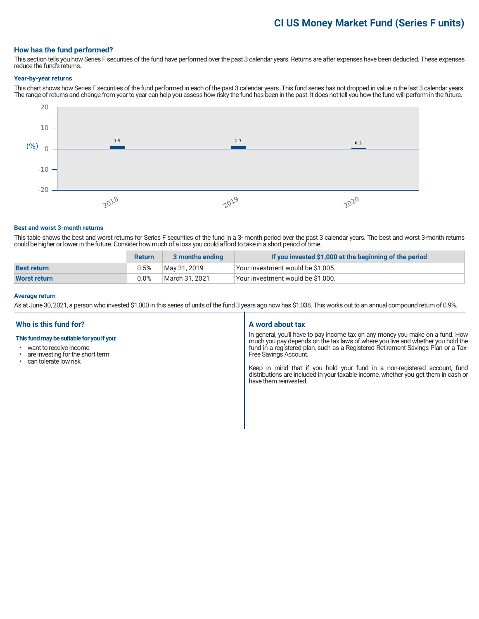# **CI US Money Market Fund (Series F units)**

## **How has the fund performed?**

This section tells you how Series F securities of the fund have performed over the past 3 calendar years. Returns are after expenses have been deducted. These expenses reduce the fund's returns.

#### **Year-by-year returns**

This chart shows how Series F securities of the fund performed in each of the past 3 calendar years. This fund series has not dropped in value in the last 3 calendar years. The range of returns and change from year to year can help you assess how risky the fund has been in the past. It does not tell you how the fund will perform in the future.



#### **Best and worst 3-month returns**

This table shows the best and worst returns for Series F securities of the fund in a 3- month period over the past 3 calendar years. The best and worst 3-month returns could be higher or lower in the future. Consider how much of a loss you could afford to take in a short period of time.

|                     | <b>Return</b> | 3 months ending | If you invested \$1,000 at the beginning of the period |
|---------------------|---------------|-----------------|--------------------------------------------------------|
| <b>Best return</b>  | 0.5%          | May 31, 2019    | Your investment would be \$1,005.                      |
| <b>Worst return</b> | $0.0\%$       | March 31, 2021  | Your investment would be \$1,000.                      |

#### **Average return**

As at June 30, 2021, a person who invested \$1,000 in this series of units of the fund 3 years ago now has \$1,038. This works out to an annual compound return of 0.9%.

# **Who is this fund for?**

#### **This fund may be suitable for you if you:**

- want to receive income
- are investing for the short term<br>• can tolerate low risk
- can tolerate low risk

## **A word about tax**

In general, you'll have to pay income tax on any money you make on a fund. How much you pay depends on the tax laws of where you live and whether you hold the fund in a registered plan, such as a Registered Retirement Savings Plan or a Tax-Free Savings Account.

Keep in mind that if you hold your fund in a non-registered account, fund distributions are included in your taxable income, whether you get them in cash or have them reinvested.